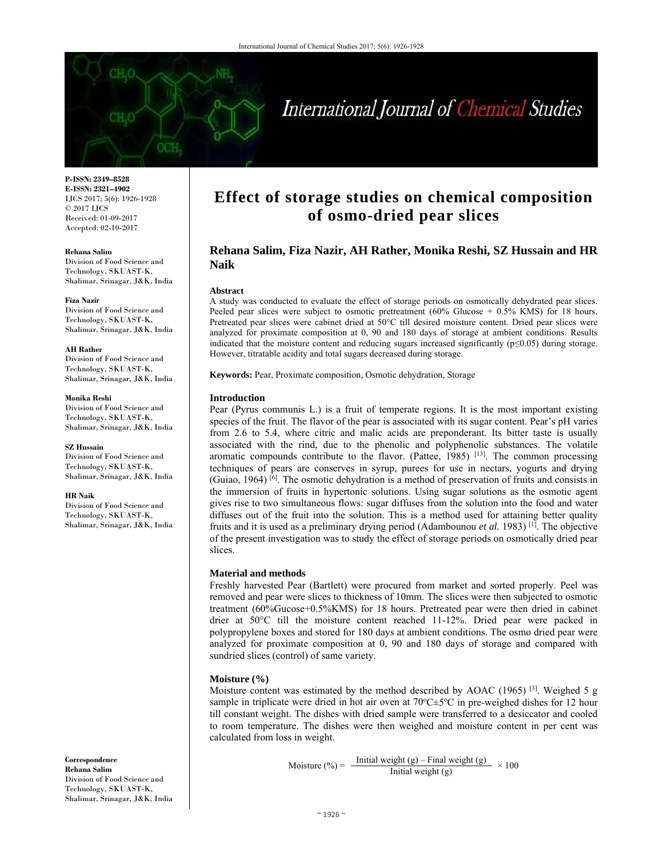

# International Journal of Chemical Studies

**P-ISSN: 2349–8528 E-ISSN: 2321–4902**  IJCS 2017; 5(6): 1926-1928 © 2017 IJCS Received: 01-09-2017 Accepted: 02-10-2017

**Rehana Salim** 

Division of Food Science and Technology, SKUAST-K, Shalimar, Srinagar, J&K, India

**Fiza Nazir** 

Division of Food Science and Technology, SKUAST-K, Shalimar, Srinagar, J&K, India

**AH Rather** 

Division of Food Science and Technology, SKUAST-K, Shalimar, Srinagar, J&K, India

**Monika Reshi**  Division of Food Science and Technology, SKUAST-K, Shalimar, Srinagar, J&K, India

**SZ Hussain** 

Division of Food Science and Technology, SKUAST-K, Shalimar, Srinagar, J&K, India

**HR Naik** 

Division of Food Science and Technology, SKUAST-K, Shalimar, Srinagar, J&K, India

**Correspondence Rehana Salim**  Division of Food Science and Technology, SKUAST-K, Shalimar, Srinagar, J&K, India

## **Effect of storage studies on chemical composition of osmo-dried pear slices**

### **Rehana Salim, Fiza Nazir, AH Rather, Monika Reshi, SZ Hussain and HR Naik**

#### **Abstract**

A study was conducted to evaluate the effect of storage periods on osmotically dehydrated pear slices. Peeled pear slices were subject to osmotic pretreatment  $(60\% \text{ Glucose} + 0.5\% \text{ KMS})$  for 18 hours. Pretreated pear slices were cabinet dried at 50°C till desired moisture content. Dried pear slices were analyzed for proximate composition at 0, 90 and 180 days of storage at ambient conditions. Results indicated that the moisture content and reducing sugars increased significantly (p≤0.05) during storage. However, titratable acidity and total sugars decreased during storage.

**Keywords:** Pear, Proximate composition, Osmotic dehydration, Storage

#### **Introduction**

Pear (Pyrus communis L.) is a fruit of temperate regions. It is the most important existing species of the fruit. The flavor of the pear is associated with its sugar content. Pear's pH varies from 2.6 to 5.4, where citric and malic acids are preponderant. Its bitter taste is usually associated with the rind, due to the phenolic and polyphenolic substances. The volatile aromatic compounds contribute to the flavor. (Pattee,  $1985$ ) <sup>[13]</sup>. The common processing techniques of pears are conserves in syrup, purees for use in nectars, yogurts and drying (Guiao, 1964) [6]. The osmotic dehydration is a method of preservation of fruits and consists in the immersion of fruits in hypertonic solutions. Using sugar solutions as the osmotic agent gives rise to two simultaneous flows: sugar diffuses from the solution into the food and water diffuses out of the fruit into the solution. This is a method used for attaining better quality fruits and it is used as a preliminary drying period (Adambounou *et al.* 1983) [1]. The objective of the present investigation was to study the effect of storage periods on osmotically dried pear slices.

#### **Material and methods**

Freshly harvested Pear (Bartlett) were procured from market and sorted properly. Peel was removed and pear were slices to thickness of 10mm. The slices were then subjected to osmotic treatment (60%Gucose+0.5%KMS) for 18 hours. Pretreated pear were then dried in cabinet drier at 50°C till the moisture content reached 11-12%. Dried pear were packed in polypropylene boxes and stored for 180 days at ambient conditions. The osmo dried pear were analyzed for proximate composition at 0, 90 and 180 days of storage and compared with sundried slices (control) of same variety.

#### **Moisture (%)**

Moisture content was estimated by the method described by AOAC (1965) <sup>[3]</sup>. Weighed 5 g sample in triplicate were dried in hot air oven at  $70^{\circ}$ C $\pm$ 5<sup>o</sup>C in pre-weighed dishes for 12 hour till constant weight. The dishes with dried sample were transferred to a desiccator and cooled to room temperature. The dishes were then weighed and moisture content in per cent was calculated from loss in weight.

$$
Moisture (\%) = \frac{Initial weight (g) - Final weight (g)}{Initial weight (g)} \times 100
$$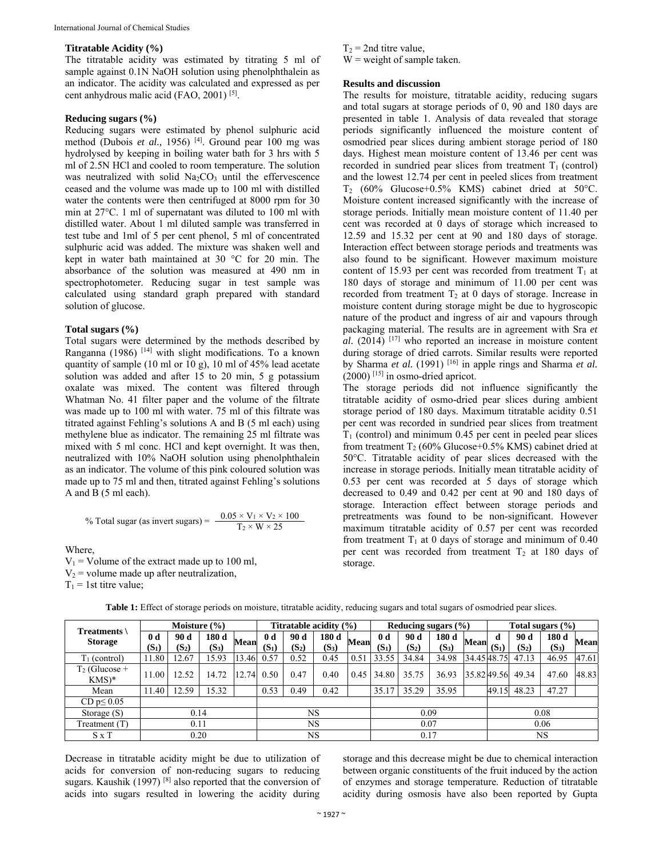#### **Titratable Acidity (%)**

The titratable acidity was estimated by titrating 5 ml of sample against 0.1N NaOH solution using phenolphthalein as an indicator. The acidity was calculated and expressed as per cent anhydrous malic acid (FAO, 2001)<sup>[5]</sup>.

#### **Reducing sugars (%)**

Reducing sugars were estimated by phenol sulphuric acid method (Dubois *et al.,* 1956) [4]. Ground pear 100 mg was hydrolysed by keeping in boiling water bath for 3 hrs with 5 ml of 2.5N HCl and cooled to room temperature. The solution was neutralized with solid  $Na<sub>2</sub>CO<sub>3</sub>$  until the effervescence ceased and the volume was made up to 100 ml with distilled water the contents were then centrifuged at 8000 rpm for 30 min at 27°C. 1 ml of supernatant was diluted to 100 ml with distilled water. About 1 ml diluted sample was transferred in test tube and 1ml of 5 per cent phenol, 5 ml of concentrated sulphuric acid was added. The mixture was shaken well and kept in water bath maintained at 30 °C for 20 min. The absorbance of the solution was measured at 490 nm in spectrophotometer. Reducing sugar in test sample was calculated using standard graph prepared with standard solution of glucose.

#### **Total sugars (%)**

Total sugars were determined by the methods described by Ranganna (1986) [14] with slight modifications. To a known quantity of sample (10 ml or 10 g), 10 ml of 45% lead acetate solution was added and after 15 to 20 min, 5 g potassium oxalate was mixed. The content was filtered through Whatman No. 41 filter paper and the volume of the filtrate was made up to 100 ml with water. 75 ml of this filtrate was titrated against Fehling's solutions A and B (5 ml each) using methylene blue as indicator. The remaining 25 ml filtrate was mixed with 5 ml conc. HCl and kept overnight. It was then, neutralized with 10% NaOH solution using phenolphthalein as an indicator. The volume of this pink coloured solution was made up to 75 ml and then, titrated against Fehling's solutions A and B (5 ml each).

% Total sugar (as invert sugars) = 
$$
\frac{0.05 \times V_1 \times V_2 \times 100}{T_2 \times W \times 25}
$$

Where,

 $V_1$  = Volume of the extract made up to 100 ml,  $V_2$  = volume made up after neutralization,  $T_1$  = 1st titre value;

 $T_2$  = 2nd titre value,  $W$  = weight of sample taken.

#### **Results and discussion**

The results for moisture, titratable acidity, reducing sugars and total sugars at storage periods of 0, 90 and 180 days are presented in table 1. Analysis of data revealed that storage periods significantly influenced the moisture content of osmodried pear slices during ambient storage period of 180 days. Highest mean moisture content of 13.46 per cent was recorded in sundried pear slices from treatment  $T_1$  (control) and the lowest 12.74 per cent in peeled slices from treatment T2 (60% Glucose+0.5% KMS) cabinet dried at 50°C. Moisture content increased significantly with the increase of storage periods. Initially mean moisture content of 11.40 per cent was recorded at 0 days of storage which increased to 12.59 and 15.32 per cent at 90 and 180 days of storage. Interaction effect between storage periods and treatments was also found to be significant. However maximum moisture content of 15.93 per cent was recorded from treatment  $T_1$  at 180 days of storage and minimum of 11.00 per cent was recorded from treatment  $T<sub>2</sub>$  at 0 days of storage. Increase in moisture content during storage might be due to hygroscopic nature of the product and ingress of air and vapours through packaging material. The results are in agreement with Sra *et al.* (2014) [17] who reported an increase in moisture content during storage of dried carrots. Similar results were reported by Sharma *et al.* (1991) [16] in apple rings and Sharma *et al.* (2000) [15] in osmo-dried apricot.

The storage periods did not influence significantly the titratable acidity of osmo-dried pear slices during ambient storage period of 180 days. Maximum titratable acidity 0.51 per cent was recorded in sundried pear slices from treatment  $T_1$  (control) and minimum 0.45 per cent in peeled pear slices from treatment  $T_2$  (60% Glucose+0.5% KMS) cabinet dried at 50°C. Titratable acidity of pear slices decreased with the increase in storage periods. Initially mean titratable acidity of 0.53 per cent was recorded at 5 days of storage which decreased to 0.49 and 0.42 per cent at 90 and 180 days of storage. Interaction effect between storage periods and pretreatments was found to be non-significant. However maximum titratable acidity of 0.57 per cent was recorded from treatment  $T_1$  at 0 days of storage and minimum of 0.40 per cent was recorded from treatment  $T_2$  at 180 days of storage.

| Treatments \<br><b>Storage</b> | Moisture $(\% )$ |         |         |       | Titratable acidity (%) |         |         |             | Reducing sugars $(\% )$ |         |         |            | Total sugars (%) |         |         |       |
|--------------------------------|------------------|---------|---------|-------|------------------------|---------|---------|-------------|-------------------------|---------|---------|------------|------------------|---------|---------|-------|
|                                | 0 <sub>d</sub>   | 90 d    | 180 d   | Mean  | 0 <sub>d</sub>         | 90 d    | 180d    | <b>Mean</b> | 0 <sub>d</sub>          | 90 d    | 180 d   | Mean       | d                | 90 d    | 180 d   | Mean  |
|                                | $(S_1)$          | $(S_2)$ | $(S_3)$ |       | $(S_1)$                | $(S_2)$ | $(S_3)$ |             | $(S_1)$                 | $(S_2)$ | $(S_3)$ |            | $(S_1)$          | $(S_2)$ | $(S_3)$ |       |
| $T_1$ (control)                | 11.80            | 12.67   | 15.93   | 13.46 | 0.57                   | 0.52    | 0.45    | 0.51        | 33.55                   | 34.84   | 34.98   | 34.4548.75 |                  | 47.13   | 46.95   | 47.61 |
| $T_2$ (Glucose +<br>$KMS)*$    | 11.00            | 12.52   | 14.72   | .74   | 0.50                   | 0.47    | 0.40    | 0.45        | 34.80                   | 35.75   | 36.93   | 35.8249.56 |                  | 49.34   | 47.60   | 48.83 |
| Mean                           | 11.40            | 12.59   | 15.32   |       | 0.53                   | 0.49    | 0.42    |             | 35.17                   | 35.29   | 35.95   |            | 49.15            | 48.23   | 47.27   |       |
| CD $p \le 0.05$                |                  |         |         |       |                        |         |         |             |                         |         |         |            |                  |         |         |       |
| Storage $(S)$                  | 0.14             |         |         |       | <b>NS</b>              |         |         |             | 0.09                    |         |         |            | 0.08             |         |         |       |
| Treatment (T)                  | 0.11             |         |         |       | <b>NS</b>              |         |         |             | 0.07                    |         |         |            | 0.06             |         |         |       |
| $S \times T$                   | 0.20             |         |         |       | NS                     |         |         |             | 0.17                    |         |         |            | NS               |         |         |       |

**Table 1:** Effect of storage periods on moisture, titratable acidity, reducing sugars and total sugars of osmodried pear slices.

Decrease in titratable acidity might be due to utilization of acids for conversion of non-reducing sugars to reducing sugars. Kaushik (1997)<sup>[8]</sup> also reported that the conversion of acids into sugars resulted in lowering the acidity during

storage and this decrease might be due to chemical interaction between organic constituents of the fruit induced by the action of enzymes and storage temperature. Reduction of titratable acidity during osmosis have also been reported by Gupta